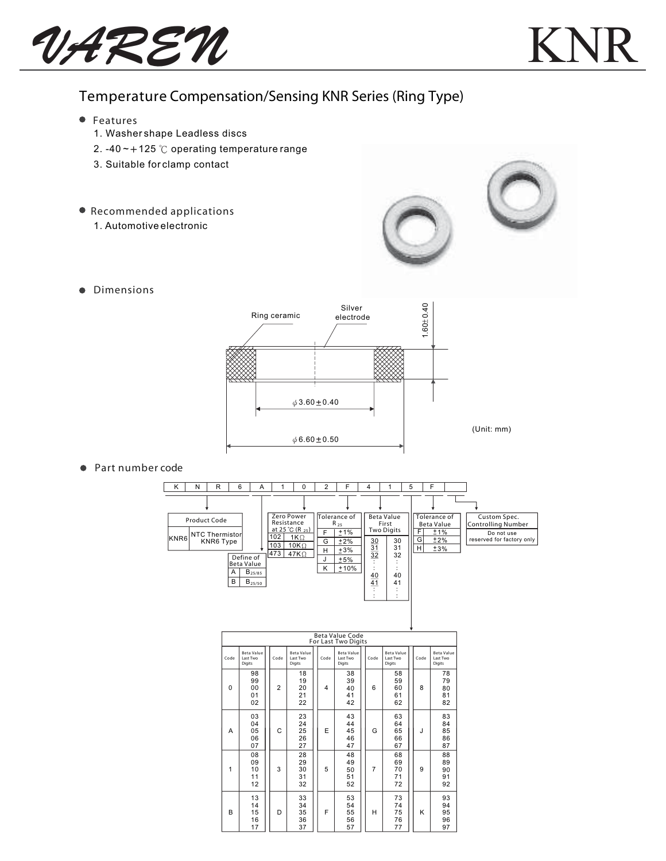

## Temperature Compensation/Sensing KNR Series (Ring Type)

- Features
	- 1. Washer shape Leadless discs
	- 2. -40  $\sim$  +125 °C operating temperature range
	- 3. Suitable for clamp contact
- Recommended applications 1. Automotive electronic





**•** Dimensions



● Part number code



|                                               | ۰                                       |                |                                         |      |                                         |  |                |                                         |  |      |                                         |
|-----------------------------------------------|-----------------------------------------|----------------|-----------------------------------------|------|-----------------------------------------|--|----------------|-----------------------------------------|--|------|-----------------------------------------|
| <b>Beta Value Code</b><br>For Last Two Digits |                                         |                |                                         |      |                                         |  |                |                                         |  |      |                                         |
| Code                                          | <b>Beta Value</b><br>Last Two<br>Digits | Code           | <b>Beta Value</b><br>Last Two<br>Digits | Code | <b>Beta Value</b><br>Last Two<br>Digits |  | Code           | <b>Beta Value</b><br>Last Two<br>Digits |  | Code | <b>Beta Value</b><br>Last Two<br>Digits |
| $\Omega$                                      | 98<br>99<br>00<br>01<br>02              | $\overline{2}$ | 18<br>19<br>20<br>21<br>22              | 4    | 38<br>39<br>40<br>41<br>42              |  | 6              | 58<br>59<br>60<br>61<br>62              |  | 8    | 78<br>79<br>80<br>81<br>82              |
| A                                             | 03<br>04<br>05<br>06<br>07              | C              | 23<br>24<br>25<br>26<br>27              | E    | 43<br>44<br>45<br>46<br>47              |  | G              | 63<br>64<br>65<br>66<br>67              |  | J    | 83<br>84<br>85<br>86<br>87              |
| 1                                             | 08<br>09<br>10<br>11<br>12              | 3              | 28<br>29<br>30<br>31<br>32              | 5    | 48<br>49<br>50<br>51<br>52              |  | $\overline{7}$ | 68<br>69<br>70<br>71<br>72              |  | 9    | 88<br>89<br>90<br>91<br>92              |
| B                                             | 13<br>14<br>15<br>16<br>17              | D              | 33<br>34<br>35<br>36<br>37              | F    | 53<br>54<br>55<br>56<br>57              |  | н              | 73<br>74<br>75<br>76<br>77              |  | ĸ    | 93<br>94<br>95<br>96<br>97              |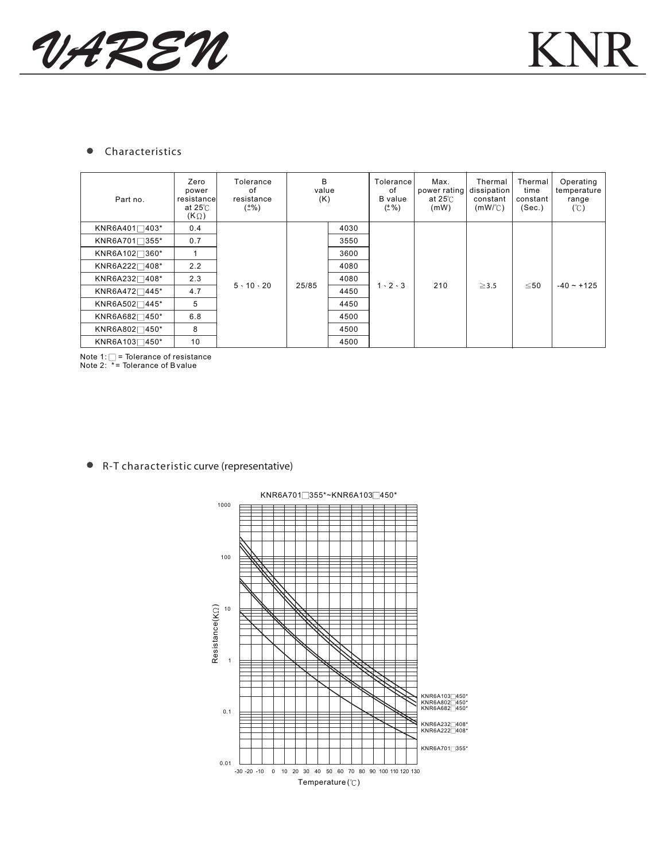*VAREN* KNR

## $\bullet$ Characteristics

| Part no.                               | Zero<br>power<br>resistancel<br>at 25 $^\circ\mathrm{C}$<br>(KQ) | Tolerance<br>of<br>resistance<br>$(*\%)$ | B<br>value<br>(K) |      | Tolerance<br>of<br><b>B</b> value<br>(± %) | Max.<br>power rating<br>at 25 $^\circ$ C<br>(mW) | Thermal<br>dissipation<br>constant<br>(mW/C) | Thermal<br>time<br>constant<br>(Sec.) | Operating<br>temperature<br>range<br>(C) |
|----------------------------------------|------------------------------------------------------------------|------------------------------------------|-------------------|------|--------------------------------------------|--------------------------------------------------|----------------------------------------------|---------------------------------------|------------------------------------------|
| KNR6A401 <sup>1</sup> 403 <sup>*</sup> | 0.4                                                              | $5 \cdot 10 \cdot 20$                    | 25/85             | 4030 | $1 \cdot 2 \cdot 3$                        | 210                                              | $\geq$ 3.5                                   | $\leq 50$                             | $-40 - 125$                              |
| KNR6A701 <sup>1</sup> 355*             | 0.7                                                              |                                          |                   | 3550 |                                            |                                                  |                                              |                                       |                                          |
| KNR6A102 <sup>7360*</sup>              | 1                                                                |                                          |                   | 3600 |                                            |                                                  |                                              |                                       |                                          |
| KNR6A222 <sup>1408*</sup>              | 2.2                                                              |                                          |                   | 4080 |                                            |                                                  |                                              |                                       |                                          |
| KNR6A232 <sup>1</sup> 408 <sup>*</sup> | 2.3                                                              |                                          |                   | 4080 |                                            |                                                  |                                              |                                       |                                          |
| KNR6A472 <sup>1445*</sup>              | 4.7                                                              |                                          |                   | 4450 |                                            |                                                  |                                              |                                       |                                          |
| KNR6A502 <sup>1445*</sup>              | 5                                                                |                                          |                   | 4450 |                                            |                                                  |                                              |                                       |                                          |
| KNR6A6827450*                          | 6.8                                                              |                                          |                   | 4500 |                                            |                                                  |                                              |                                       |                                          |
| KNR6A802 <sup>1450*</sup>              | 8                                                                |                                          |                   | 4500 |                                            |                                                  |                                              |                                       |                                          |
| KNR6A1037450*                          | 10                                                               |                                          |                   | 4500 |                                            |                                                  |                                              |                                       |                                          |

Note 1: = Tolerance of resistance Note 2: \* = Tolerance of B value

R-T characteristic curve (representative)